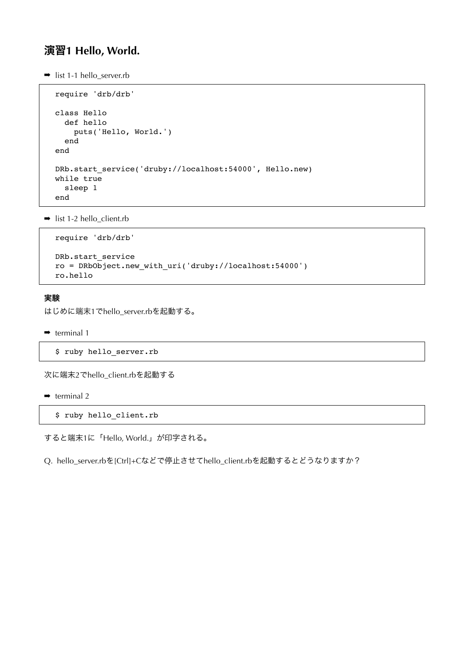# 演習**1 Hello, World.**

 $\rightarrow$  list 1-1 hello\_server.rb

```
require 'drb/drb'
class Hello
  def hello
    puts('Hello, World.')
   end
end
DRb.start service('druby://localhost:54000', Hello.new)
while true
   sleep 1
end
```
 $\rightarrow$  list 1-2 hello\_client.rb

```
require 'drb/drb'
DRb.start_service
ro = DRbObject.new_with_uri('druby://localhost:54000')
ro.hello
```
#### 実験

はじめに端末1でhello\_server.rbを起動する。

```
\rightarrow terminal 1
```

```
$ ruby hello_server.rb
```
次に端末2でhello\_client.rbを起動する

 $\rightarrow$  terminal 2

\$ ruby hello\_client.rb

すると端末1に「Hello, World.」が印字される。

Q. hello\_server.rbを[Ctrl]+Cなどで停止させてhello\_client.rbを起動するとどうなりますか?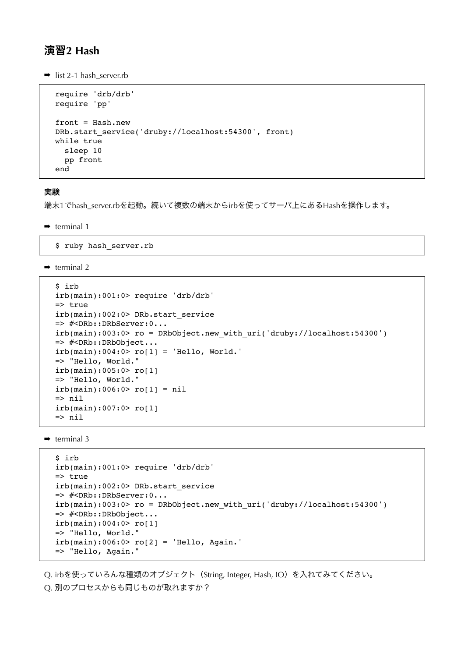### 演習**2 Hash**

 $\rightarrow$  list 2-1 hash server.rb

```
require 'drb/drb'
require 'pp'
front = Hash.new
DRb.start service('druby://localhost:54300', front)
while true
  sleep 10
   pp front
end
```
#### 実験

端末1でhash\_server.rbを起動。続いて複数の端末からirbを使ってサーバ上にあるHashを操作します。

 $\rightarrow$  terminal 1

\$ ruby hash\_server.rb

 $\rightarrow$  terminal 2

```
$ irb 
irb(main):001:0> require 'drb/drb'
\Rightarrow true
irb(main):002:0> DRb.start_service
=> #<DRb::DRbServer:0...
irb(main):003:0> ro = DRbObject.new_with_uri('druby://localhost:54300')
=> #<DRb::DRbObject...
irb(main):004:0> ro[1] = 'Hello, World.'
=> "Hello, World."
irb(main):005:0> ro[1]
=> "Hello, World."
irb(main):006:0> ro[1] = nil=> nil
irb(main):007:0> ro[1]
\Rightarrow nil
```
 $\rightarrow$  terminal 3

```
$ irb 
irb(main):001:0> require 'drb/drb'
=> true
irb(main):002:0> DRb.start_service
=> #<DRb::DRbServer:0...
irb(main):003:0> ro = DRbObject.new_with_uri('druby://localhost:54300')
=> #<DRb::DRbObject...
irb(main):004:0> ro[1]
=> "Hello, World."
irb(main):006:0> ro[2] = 'Hello, Again.'=> "Hello, Again."
```
Q. irbを使っていろんな種類のオブジェクト (String, Integer, Hash, IO) を入れてみてください。

#### Q. 別のプロセスからも同じものが取れますか?